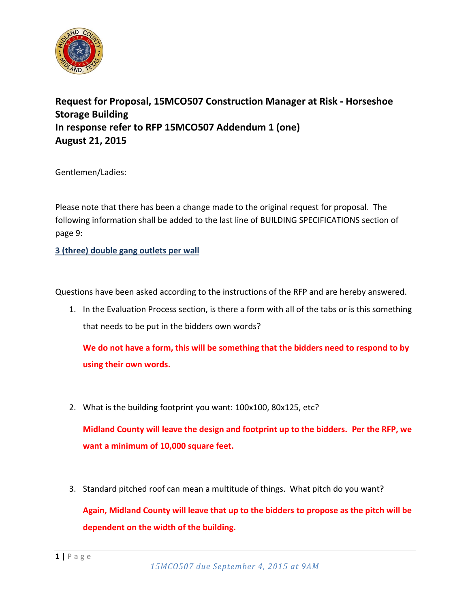

## **Request for Proposal, 15MCO507 Construction Manager at Risk - Horseshoe Storage Building In response refer to RFP 15MCO507 Addendum 1 (one) August 21, 2015**

Gentlemen/Ladies:

Please note that there has been a change made to the original request for proposal. The following information shall be added to the last line of BUILDING SPECIFICATIONS section of page 9:

**3 (three) double gang outlets per wall**

Questions have been asked according to the instructions of the RFP and are hereby answered.

1. In the Evaluation Process section, is there a form with all of the tabs or is this something that needs to be put in the bidders own words?

**We do not have a form, this will be something that the bidders need to respond to by using their own words.**

2. What is the building footprint you want: 100x100, 80x125, etc?

**Midland County will leave the design and footprint up to the bidders. Per the RFP, we want a minimum of 10,000 square feet.**

3. Standard pitched roof can mean a multitude of things. What pitch do you want?

**Again, Midland County will leave that up to the bidders to propose as the pitch will be dependent on the width of the building.**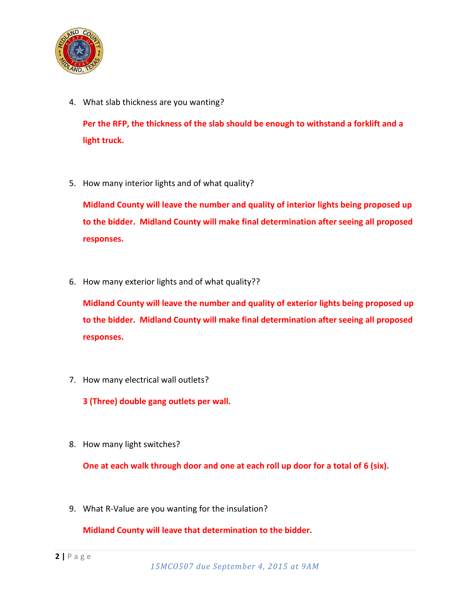

4. What slab thickness are you wanting?

**Per the RFP, the thickness of the slab should be enough to withstand a forklift and a light truck.**

5. How many interior lights and of what quality?

**Midland County will leave the number and quality of interior lights being proposed up to the bidder. Midland County will make final determination after seeing all proposed responses.**

6. How many exterior lights and of what quality??

**Midland County will leave the number and quality of exterior lights being proposed up to the bidder. Midland County will make final determination after seeing all proposed responses.**

7. How many electrical wall outlets?

**3 (Three) double gang outlets per wall.**

8. How many light switches?

**One at each walk through door and one at each roll up door for a total of 6 (six).**

9. What R-Value are you wanting for the insulation?

**Midland County will leave that determination to the bidder.**